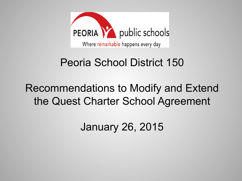

#### Peoria School District 150

#### Recommendations to Modify and Extend the Quest Charter School Agreement

January 26, 2015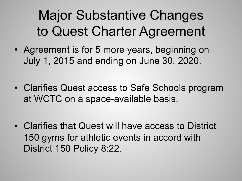## Major Substantive Changes to Quest Charter Agreement

- Agreement is for 5 more years, beginning on July 1, 2015 and ending on June 30, 2020.
- Clarifies Quest access to Safe Schools program at WCTC on a space-available basis.
- Clarifies that Quest will have access to District 150 gyms for athletic events in accord with District 150 Policy 8:22.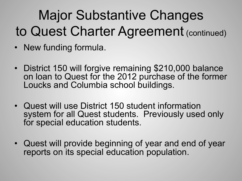## Major Substantive Changes to Quest Charter Agreement (continued)

- New funding formula.
- District 150 will forgive remaining \$210,000 balance on loan to Quest for the 2012 purchase of the former Loucks and Columbia school buildings.
- Quest will use District 150 student information system for all Quest students. Previously used only for special education students.
- Quest will provide beginning of year and end of year reports on its special education population.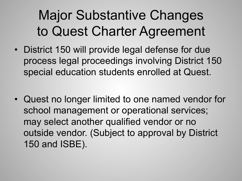## Major Substantive Changes to Quest Charter Agreement

- District 150 will provide legal defense for due process legal proceedings involving District 150 special education students enrolled at Quest.
- Quest no longer limited to one named vendor for school management or operational services; may select another qualified vendor or no outside vendor. (Subject to approval by District 150 and ISBE).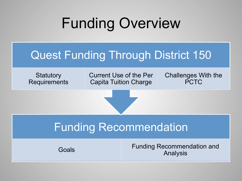## Funding Overview

#### Quest Funding Through District 150

**Statutory Requirements** 

Current Use of the Per Capita Tuition Charge

Challenges With the PCTC

#### Funding Recommendation

Goals Funding Recommendation and Analysis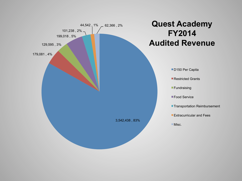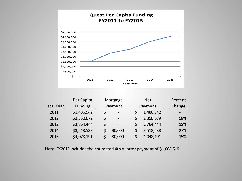

|                    | Per Capita     | Mortgage |                              | <b>Net</b> |           | Percent |
|--------------------|----------------|----------|------------------------------|------------|-----------|---------|
| <b>Fiscal Year</b> | <b>Funding</b> | Payment  |                              | Payment    |           | Change  |
| 2011               | \$1,486,542    | \$       | $\overline{\phantom{a}}$     |            | 1,486,542 |         |
| 2012               | \$2,350,079    | \$       | $\qquad \qquad \blacksquare$ |            | 2,350,079 | 58%     |
| 2013               | \$2,764,444    | \$       | $\overline{\phantom{a}}$     |            | 2,764,444 | 18%     |
| 2014               | \$3,548,538    |          | 30,000                       |            | 3,518,538 | 27%     |
| 2015               | \$4,078,191    |          | 30,000                       |            | 4,048,191 | 15%     |

Note: FY2015 includes the estimated 4th quarter payment of \$1,008,519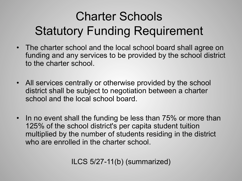### Charter Schools Statutory Funding Requirement

- The charter school and the local school board shall agree on funding and any services to be provided by the school district to the charter school.
- All services centrally or otherwise provided by the school district shall be subject to negotiation between a charter school and the local school board.
- In no event shall the funding be less than 75% or more than 125% of the school district's per capita student tuition multiplied by the number of students residing in the district who are enrolled in the charter school.

ILCS 5/27-11(b) (summarized)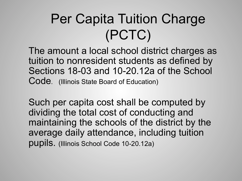## Per Capita Tuition Charge (PCTC)

The amount a local school district charges as tuition to nonresident students as defined by Sections 18-03 and 10-20.12a of the School Code. (Illinois State Board of Education)

Such per capita cost shall be computed by dividing the total cost of conducting and maintaining the schools of the district by the average daily attendance, including tuition pupils. (Illinois School Code 10-20.12a)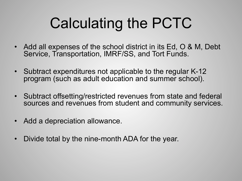## Calculating the PCTC

- Add all expenses of the school district in its Ed, O & M, Debt Service, Transportation, IMRF/SS, and Tort Funds.
- Subtract expenditures not applicable to the regular K-12 program (such as adult education and summer school).
- Subtract offsetting/restricted revenues from state and federal sources and revenues from student and community services.
- Add a depreciation allowance.
- Divide total by the nine-month ADA for the year.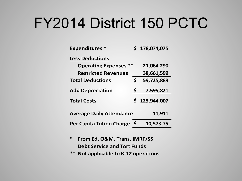## FY2014 District 150 PCTC

| <b>Expenditures*</b>            |    | \$178,074,075 |
|---------------------------------|----|---------------|
| <b>Less Deductions</b>          |    |               |
| <b>Operating Expenses **</b>    |    | 21,064,290    |
| <b>Restricted Revenues</b>      |    | 38,661,599    |
| <b>Total Deductions</b>         | Ś  | 59,725,889    |
| <b>Add Depreciation</b>         | -Ş | 7,595,821     |
| <b>Total Costs</b>              | Ś  | 125,944,007   |
| <b>Average Daily Attendance</b> |    | 11,911        |
| Per Capita Tution Charge \$     |    | 10,573.75     |

- **\* From,Ed,,O&M,,Trans,,IMRF/SS Debt Service and Tort Funds**
- **\*\*** Not applicable to K-12 operations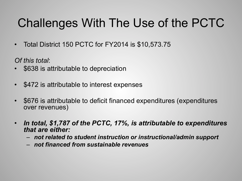#### Challenges With The Use of the PCTC

• Total District 150 PCTC for FY2014 is \$10,573.75

*Of this total*:

- \$638 is attributable to depreciation
- \$472 is attributable to interest expenses
- \$676 is attributable to deficit financed expenditures (expenditures over revenues)
- *In total, \$1,787 of the PCTC, 17%, is attributable to expenditures that are either:* 
	- *not related to student instruction or instructional/admin support*
	- *not financed from sustainable revenues*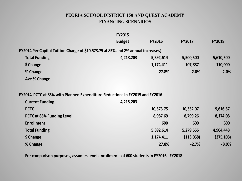#### **PEORIA SCHOOL DISTRICT 150 AND QUEST ACADEMY FINANCING SCENARIOS**

|                                                                                  | <b>FY2015</b> |               |               |               |
|----------------------------------------------------------------------------------|---------------|---------------|---------------|---------------|
|                                                                                  | <b>Budget</b> | <b>FY2016</b> | <b>FY2017</b> | <b>FY2018</b> |
| FY2014 Per Capital Tuition Charge of \$10,573.75 at 85% and 2% annual increases) |               |               |               |               |
| <b>Total Funding</b>                                                             | 4,218,203     | 5,392,614     | 5,500,500     | 5,610,500     |
| \$ Change                                                                        |               | 1,174,411     | 107,887       | 110,000       |
| % Change                                                                         |               | 27.8%         | 2.0%          | 2.0%          |
| Ave % Change                                                                     |               |               |               |               |
| FY2014 PCTC at 85% with Planned Expenditure Reductions in FY2015 and FY2016      |               |               |               |               |
| <b>Current Funding</b>                                                           | 4,218,203     |               |               |               |
| <b>PCTC</b>                                                                      |               | 10 573 75     | 10 352 07     | 9 616 57      |

| <b>Current Funding</b>    | 4,218,203 |           |            |
|---------------------------|-----------|-----------|------------|
| <b>PCTC</b>               | 10,573.75 | 10,352.07 | 9,616.57   |
| PCTC at 85% Funding Level | 8,987.69  | 8,799.26  | 8,174.08   |
| <b>Enrollment</b>         | 600       | 600       | 600        |
| <b>Total Funding</b>      | 5,392,614 | 5,279,556 | 4,904,448  |
| \$ Change                 | 1,174,411 | (113,058) | (375, 108) |
| % Change                  | 27.8%     | $-2.7%$   | $-8.9%$    |

For comparison purposes, assumes level enrollments of 600 students in FY2016 - FY2018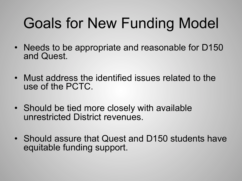## Goals for New Funding Model

- Needs to be appropriate and reasonable for D150 and Quest.
- Must address the identified issues related to the use of the PCTC.
- Should be tied more closely with available unrestricted District revenues.
- Should assure that Quest and D150 students have equitable funding support.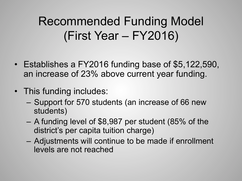#### Recommended Funding Model (First Year – FY2016)

- Establishes a FY2016 funding base of \$5,122,590, an increase of 23% above current year funding.
- This funding includes:
	- Support for 570 students (an increase of 66 new students)
	- A funding level of \$8,987 per student (85% of the district's per capita tuition charge)
	- Adjustments will continue to be made if enrollment levels are not reached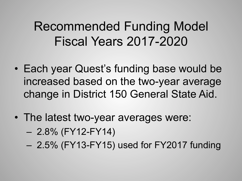#### Recommended Funding Model Fiscal Years 2017-2020

- Each year Quest's funding base would be increased based on the two-year average change in District 150 General State Aid.
- The latest two-year averages were:
	- $-2.8\%$  (FY12-FY14)
	- 2.5% (FY13-FY15) used for FY2017 funding